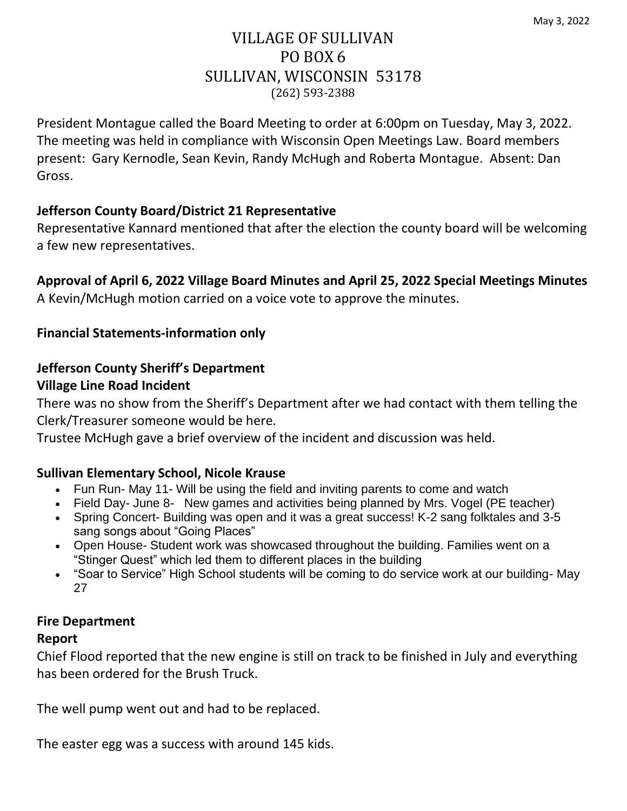## VILLAGE OF SULLIVAN PO BOX 6 SULLIVAN, WISCONSIN 53178 (262) 593-2388

President Montague called the Board Meeting to order at 6:00pm on Tuesday, May 3, 2022. The meeting was held in compliance with Wisconsin Open Meetings Law. Board members present: Gary Kernodle, Sean Kevin, Randy McHugh and Roberta Montague. Absent: Dan Gross.

### **Jefferson County Board/District 21 Representative**

Representative Kannard mentioned that after the election the county board will be welcoming a few new representatives.

**Approval of April 6, 2022 Village Board Minutes and April 25, 2022 Special Meetings Minutes** A Kevin/McHugh motion carried on a voice vote to approve the minutes.

### **Financial Statements-information only**

#### **Jefferson County Sheriff's Department Village Line Road Incident**

There was no show from the Sheriff's Department after we had contact with them telling the Clerk/Treasurer someone would be here.

Trustee McHugh gave a brief overview of the incident and discussion was held.

#### **Sullivan Elementary School, Nicole Krause**

- Fun Run- May 11- Will be using the field and inviting parents to come and watch
- Field Day- June 8- New games and activities being planned by Mrs. Vogel (PE teacher)
- Spring Concert- Building was open and it was a great success! K-2 sang folktales and 3-5 sang songs about "Going Places"
- Open House- Student work was showcased throughout the building. Families went on a "Stinger Quest" which led them to different places in the building
- "Soar to Service" High School students will be coming to do service work at our building- May 27

#### **Fire Department**

#### **Report**

Chief Flood reported that the new engine is still on track to be finished in July and everything has been ordered for the Brush Truck.

The well pump went out and had to be replaced.

The easter egg was a success with around 145 kids.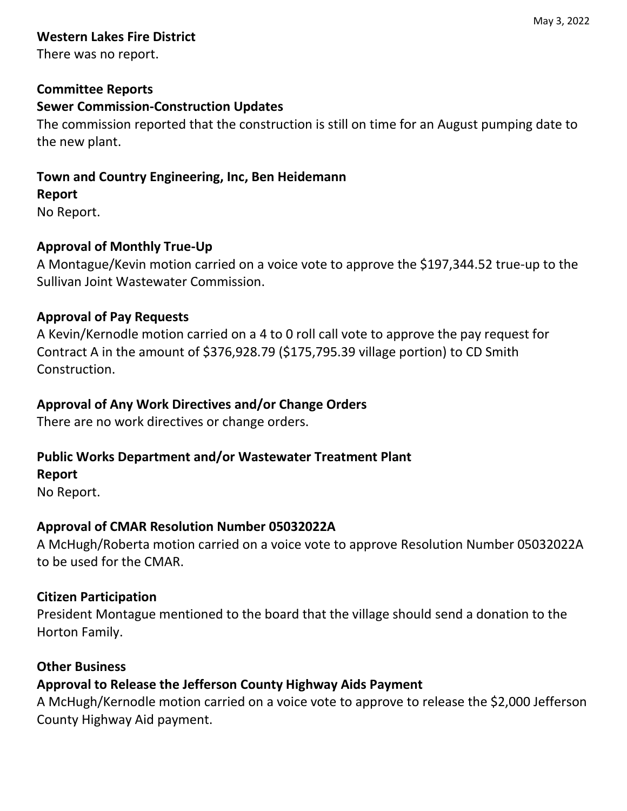# **Western Lakes Fire District**

There was no report.

### **Committee Reports**

### **Sewer Commission-Construction Updates**

The commission reported that the construction is still on time for an August pumping date to the new plant.

### **Town and Country Engineering, Inc, Ben Heidemann**

### **Report**

No Report.

### **Approval of Monthly True-Up**

A Montague/Kevin motion carried on a voice vote to approve the \$197,344.52 true-up to the Sullivan Joint Wastewater Commission.

### **Approval of Pay Requests**

A Kevin/Kernodle motion carried on a 4 to 0 roll call vote to approve the pay request for Contract A in the amount of \$376,928.79 (\$175,795.39 village portion) to CD Smith Construction.

### **Approval of Any Work Directives and/or Change Orders**

There are no work directives or change orders.

# **Public Works Department and/or Wastewater Treatment Plant**

### **Report**

No Report.

# **Approval of CMAR Resolution Number 05032022A**

A McHugh/Roberta motion carried on a voice vote to approve Resolution Number 05032022A to be used for the CMAR.

### **Citizen Participation**

President Montague mentioned to the board that the village should send a donation to the Horton Family.

### **Other Business**

# **Approval to Release the Jefferson County Highway Aids Payment**

A McHugh/Kernodle motion carried on a voice vote to approve to release the \$2,000 Jefferson County Highway Aid payment.